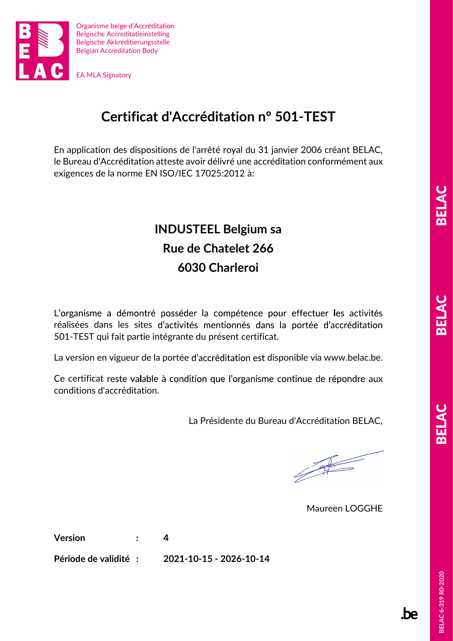

### Certificat d'Accréditation n° 501-TEST

En application des dispositions de l'arrêté royal du 31 janvier 2006 créant BELAC, le Bureau d'Accréditation atteste avoir délivré une accréditation conformément aux exigences de la norme EN ISO/IEC 17025:2012 à:

# INDUSTEEL Belgium sa Rue de Chatelet 266 6030 Charleroi

L'organisme a démontré posséder la compétence pour effectuer les activités réalisées dans les sites d'activités mentionnés dans la portée d'accréditation 501-TEST qui fait partie intégrante du présent certificat.

La version en vigueur de la portée d'accréditation est disponible via www.belac.be.

Ce certificat reste valable à condition que l'organisme continue de répondre aux conditions d'accréditation.

La Présidente du Bureau d'Accréditation BELAC,

Maureen LOGGHE

Version : 4

Période de validité : 2021-10-15 - 2026-10-14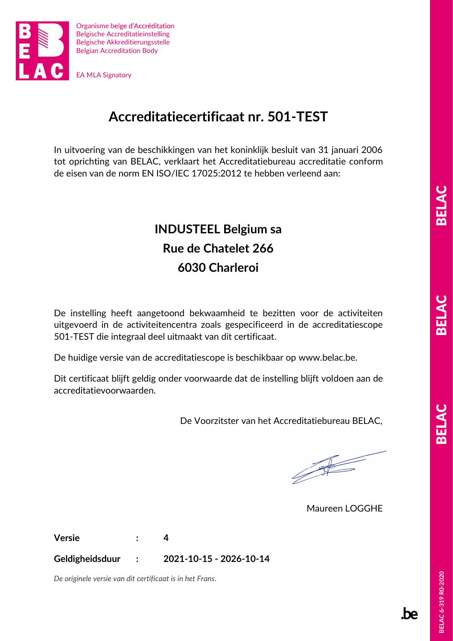

### Accreditatiecertificaat nr. 501-TEST

In uitvoering van de beschikkingen van het koninklijk besluit van 31 januari 2006 tot oprichting van BELAC, verklaart het Accreditatiebureau accreditatie conform de eisen van de norm EN ISO/IEC 17025:2012 te hebben verleend aan:

# INDUSTEEL Belgium sa Rue de Chatelet 266 6030 Charleroi

De instelling heeft aangetoond bekwaamheid te bezitten voor de activiteiten uitgevoerd in de activiteitencentra zoals gespecificeerd in de accreditatiescope 501-TEST die integraal deel uitmaakt van dit certificaat.

De huidige versie van de accreditatiescope is beschikbaar op www.belac.be.

Dit certificaat blijft geldig onder voorwaarde dat de instelling blijft voldoen aan de accreditatievoorwaarden.

De Voorzitster van het Accreditatiebureau BELAC,

 $\begin{picture}(120,10) \put(0,0){\line(1,0){155}} \put(15,0){\line(1,0){155}} \put(15,0){\line(1,0){155}} \put(15,0){\line(1,0){155}} \put(15,0){\line(1,0){155}} \put(15,0){\line(1,0){155}} \put(15,0){\line(1,0){155}} \put(15,0){\line(1,0){155}} \put(15,0){\line(1,0){155}} \put(15,0){\line(1,0){155}} \put(15,0){\line(1,0){155}}$ 

Maureen LOGGHE

Versie : 4

Geldigheidsduur : 2021-10-15 - 2026-10-14

De originele versie van dit certificaat is in het Frans.<br>Beland of the Second Second Second Second Second Second Second Second Second Second Second Second Second Second<br>Beland Second Second Second Second Second Second Seco De originele versie van dit certificaat is in het Frans.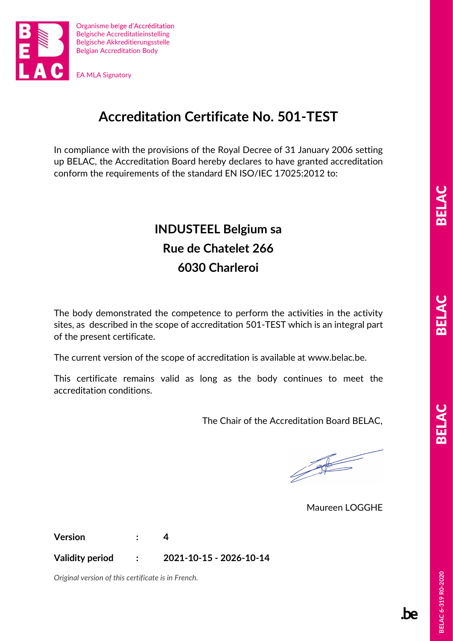

### Accreditation Certificate No. 501-TEST

In compliance with the provisions of the Royal Decree of 31 January 2006 setting up BELAC, the Accreditation Board hereby declares to have granted accreditation conform the requirements of the standard EN ISO/IEC 17025:2012 to:

# INDUSTEEL Belgium sa Rue de Chatelet 266 6030 Charleroi

The body demonstrated the competence to perform the activities in the activity sites, as described in the scope of accreditation 501-TEST which is an integral part of the present certificate.

The current version of the scope of accreditation is available at www.belac.be.

This certificate remains valid as long as the body continues to meet the accreditation conditions.

The Chair of the Accreditation Board BELAC,

Maureen LOGGHE

Version : 4

Validity period : 2021-10-15 - 2026-10-14

Original version of this certificate is in French.<br>
Says of the contract of the certificate is in French.<br>
Says of the certificate is in French.<br>
Says of the certificate is in French. Original version of this certificate is in French.